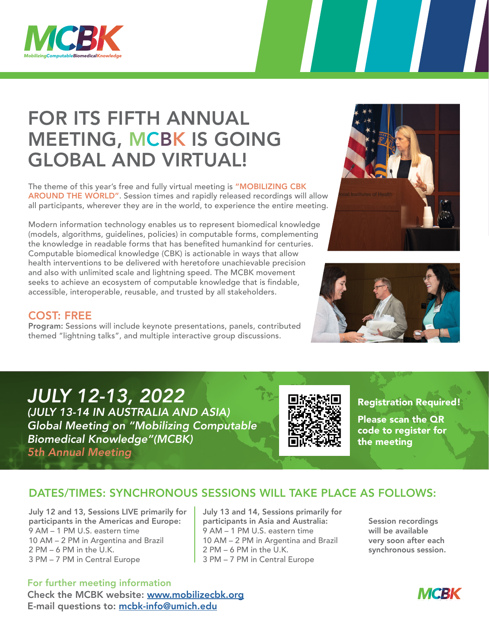

# FOR ITS FIFTH ANNUAL MEETING, MCBK IS GOING GLOBAL AND VIRTUAL!

The theme of this year's free and fully virtual meeting is "MOBILIZING CBK AROUND THE WORLD". Session times and rapidly released recordings will allow all participants, wherever they are in the world, to experience the entire meeting.

Modern information technology enables us to represent biomedical knowledge (models, algorithms, guidelines, policies) in computable forms, complementing the knowledge in readable forms that has benefited humankind for centuries. Computable biomedical knowledge (CBK) is actionable in ways that allow health interventions to be delivered with heretofore unachievable precision and also with unlimited scale and lightning speed. The MCBK movement seeks to achieve an ecosystem of computable knowledge that is findable, accessible, interoperable, reusable, and trusted by all stakeholders.





#### COST: FREE

Program: Sessions will include keynote presentations, panels, contributed themed "lightning talks", and multiple interactive group discussions.

### *JULY 12-13, 2022*

*(JULY 13-14 IN AUSTRALIA AND ASIA) Global Meeting on "Mobilizing Computable Biomedical Knowledge"(MCBK) 5th Annual Meeting*



Registration Required! Please scan the QR code to register for the meeting

### DATES/TIMES: SYNCHRONOUS SESSIONS WILL TAKE PLACE AS FOLLOWS:

July 12 and 13, Sessions LIVE primarily for participants in the Americas and Europe: 9 AM – 1 PM U.S. eastern time 10 AM – 2 PM in Argentina and Brazil 2 PM – 6 PM in the U.K. 3 PM – 7 PM in Central Europe

July 13 and 14, Sessions primarily for participants in Asia and Australia: 9 AM – 1 PM U.S. eastern time 10 AM – 2 PM in Argentina and Brazil 2 PM – 6 PM in the U.K. 3 PM – 7 PM in Central Europe

Session recordings will be available very soon after each synchronous session.

For further meeting information Check the MCBK website: [www.mobilizecbk.org](http://www.mobilizecbk.org) E-mail questions to: [mcbk-info@umich.edu](mailto:mcbk-info%40umich.edu?subject=Question)